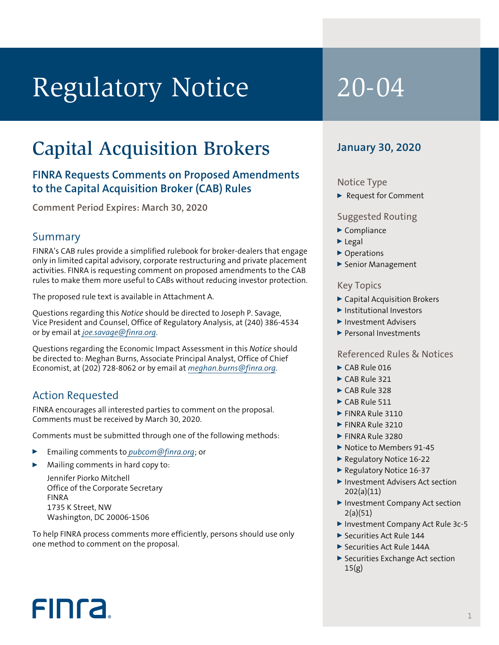# Regulatory Notice 20-04

## Capital Acquisition Brokers

#### **FINRA Requests Comments on Proposed Amendments to the Capital Acquisition Broker (CAB) Rules**

**Comment Period Expires: March 30, 2020**

#### Summary

FINRA's CAB rules provide a simplified rulebook for broker-dealers that engage only in limited capital advisory, corporate restructuring and private placement activities. FINRA is requesting comment on proposed amendments to the CAB rules to make them more useful to CABs without reducing investor protection.

The proposed rule text is available in Attachment A.

Questions regarding this *Notice* should be directed to Joseph P. Savage, Vice President and Counsel, Office of Regulatory Analysis, at (240) 386-4534 or by email at *[joe.savage@finra.org](mailto:joe.savage@finra.org)*.

Questions regarding the Economic Impact Assessment in this *Notice* should be directed to: Meghan Burns, Associate Principal Analyst, Office of Chief Economist, at (202) 728-8062 or by email at *[meghan.burns@finra.org](mailto:meghan.burns@finra.org)*.

#### Action Requested

**FINCA** 

FINRA encourages all interested parties to comment on the proposal. Comments must be received by March 30, 2020.

Comments must be submitted through one of the following methods:

- <sup>0</sup> Emailing comments to *[pubcom@finra.org](mailto:pubcom@finra.org)*; or
- Mailing comments in hard copy to: Jennifer Piorko Mitchell

Office of the Corporate Secretary FINRA 1735 K Street, NW Washington, DC 20006-1506

To help FINRA process comments more efficiently, persons should use only one method to comment on the proposal.

#### **January 30, 2020**

#### Notice Type

▶ Request for Comment

#### Suggested Routing

- $\blacktriangleright$  Compliance
- $\blacktriangleright$  Legal
- ▶ Operations
- Senior Management

#### Key Topics

- <sup>0</sup> Capital Acquisition Brokers
- **D** Institutional Investors
- Investment Advisers
- **Personal Investments**

#### Referenced Rules & Notices

- $\triangleright$  CAB Rule 016
- $\triangleright$  CAB Rule 321
- $\triangleright$  CAB Rule 328
- $\triangleright$  CAB Rule 511
- FINRA Rule 3110
- FINRA Rule 3210
- **FINRA Rule 3280**
- Notice to Members 91-45
- ▶ Regulatory Notice 16-22
- Regulatory Notice 16-37
- ▶ Investment Advisers Act section 202(a)(11)
- ▶ Investment Company Act section 2(a)(51)
- ▶ Investment Company Act Rule 3c-5
- ▶ Securities Act Rule 144
- ▶ Securities Act Rule 144A
- ▶ Securities Exchange Act section 15(g)

1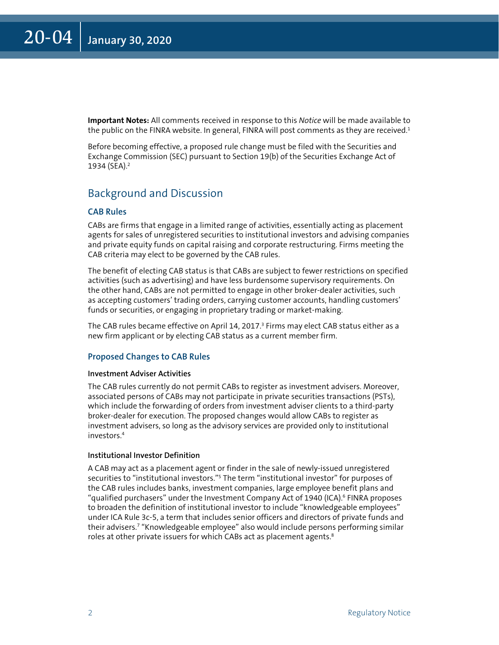<span id="page-1-0"></span>**Important Notes:** All comments received in response to this *Notice* will be made available to the public on the FINRA website. In general, FINRA will post comments as they are received. $11$ 

Before becoming effective, a proposed rule change must be filed with the Securities and Exchange Commission (SEC) pursuant to Section 19(b) of the Securities Exchange Act of 1934 (SEA).[2](#page-7-0)

### Background and Discussion

#### **CAB Rules**

CABs are firms that engage in a limited range of activities, essentially acting as placement agents for sales of unregistered securities to institutional investors and advising companies and private equity funds on capital raising and corporate restructuring. Firms meeting the CAB criteria may elect to be governed by the CAB rules.

The benefit of electing CAB status is that CABs are subject to fewer restrictions on specified activities (such as advertising) and have less burdensome supervisory requirements. On the other hand, CABs are not permitted to engage in other broker-dealer activities, such as accepting customers' trading orders, carrying customer accounts, handling customers' funds or securities, or engaging in proprietary trading or market-making.

The CAB rules became effective on April 14, 2017.<sup>[3](#page-7-0)</sup> Firms may elect CAB status either as a new firm applicant or by electing CAB status as a current member firm.

#### **Proposed Changes to CAB Rules**

#### **Investment Adviser Activities**

The CAB rules currently do not permit CABs to register as investment advisers. Moreover, associated persons of CABs may not participate in private securities transactions (PSTs), which include the forwarding of orders from investment adviser clients to a third-party broker-dealer for execution. The proposed changes would allow CABs to register as investment advisers, so long as the advisory services are provided only to institutional investors[.4](#page-7-0)

#### **Institutional Investor Definition**

A CAB may act as a placement agent or finder in the sale of newly-issued unregistered securities to "institutional investors."<sup>5</sup> The term "institutional investor" for purposes of the CAB rules includes banks, investment companies, large employee benefit plans and "qualified purchasers" under the Investment Company Act of 1940 (ICA). $\epsilon$  FINRA proposes to broaden the definition of institutional investor to include "knowledgeable employees" under ICA Rule 3c-5, a term that includes senior officers and directors of private funds and their advisers[.7](#page-7-0) "Knowledgeable employee" also would include persons performing similar roles at other private issuers for which CABs act as placement agents.<sup>[8](#page-7-0)</sup>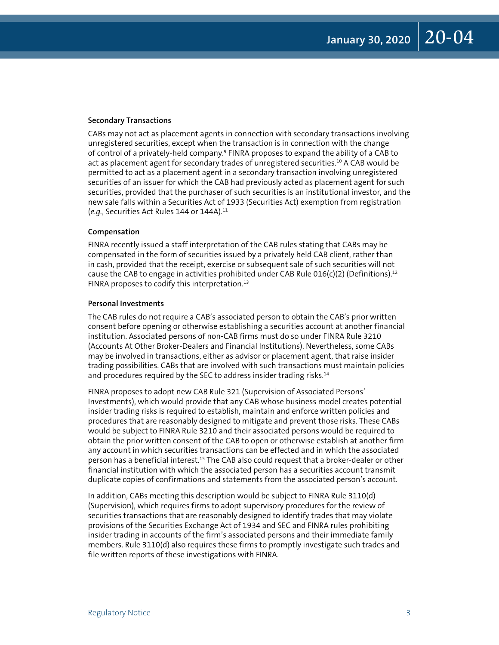#### <span id="page-2-0"></span>**Secondary Transactions**

CABs may not act as placement agents in connection with secondary transactions involving unregistered securities, except when the transaction is in connection with the change of control of a privately-held company.[9](#page-7-0) FINRA proposes to expand the ability of a CAB to act as placement agent for secondary trades of unregistered securities.[10](#page-7-0) A CAB would be permitted to act as a placement agent in a secondary transaction involving unregistered securities of an issuer for which the CAB had previously acted as placement agent for such securities, provided that the purchaser of such securities is an institutional investor, and the new sale falls within a Securities Act of 1933 (Securities Act) exemption from registration (*e.g.*, Securities Act Rules 144 or 144A)[.11](#page-7-0) 

#### **Compensation**

FINRA recently issued a staff interpretation of the CAB rules stating that CABs may be compensated in the form of securities issued by a privately held CAB client, rather than in cash, provided that the receipt, exercise or subsequent sale of such securities will not cause the CAB to engage in activities prohibited under CAB Rule 016(c)(2) (Definitions).<sup>12</sup> FINRA proposes to codify this interpretation.[13](#page-7-0)

#### **Personal Investments**

The CAB rules do not require a CAB's associated person to obtain the CAB's prior written consent before opening or otherwise establishing a securities account at another financial institution. Associated persons of non-CAB firms must do so under FINRA Rule 3210 (Accounts At Other Broker-Dealers and Financial Institutions). Nevertheless, some CABs may be involved in transactions, either as advisor or placement agent, that raise insider trading possibilities. CABs that are involved with such transactions must maintain policies and procedures required by the SEC to address insider trading risks.<sup>14</sup>

FINRA proposes to adopt new CAB Rule 321 (Supervision of Associated Persons' Investments), which would provide that any CAB whose business model creates potential insider trading risks is required to establish, maintain and enforce written policies and procedures that are reasonably designed to mitigate and prevent those risks. These CABs would be subject to FINRA Rule 3210 and their associated persons would be required to obtain the prior written consent of the CAB to open or otherwise establish at another firm any account in which securities transactions can be effected and in which the associated person has a beneficial interest.[15](#page-7-0) The CAB also could request that a broker-dealer or other financial institution with which the associated person has a securities account transmit duplicate copies of confirmations and statements from the associated person's account.

In addition, CABs meeting this description would be subject to FINRA Rule 3110(d) (Supervision), which requires firms to adopt supervisory procedures for the review of securities transactions that are reasonably designed to identify trades that may violate provisions of the Securities Exchange Act of 1934 and SEC and FINRA rules prohibiting insider trading in accounts of the firm's associated persons and their immediate family members. Rule 3110(d) also requires these firms to promptly investigate such trades and file written reports of these investigations with FINRA.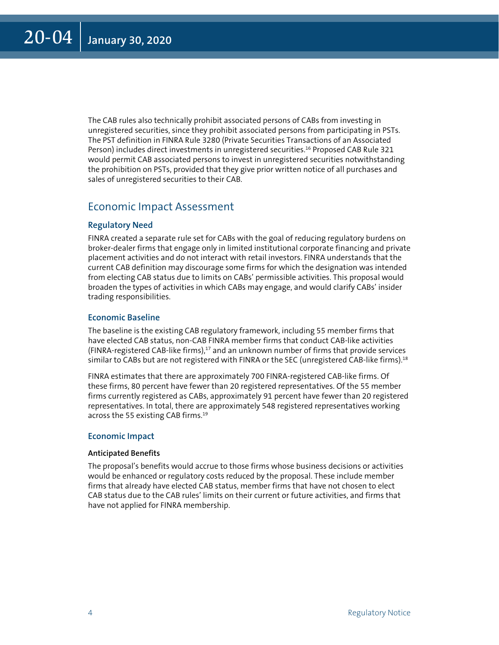<span id="page-3-0"></span>The CAB rules also technically prohibit associated persons of CABs from investing in unregistered securities, since they prohibit associated persons from participating in PSTs. The PST definition in FINRA Rule 3280 (Private Securities Transactions of an Associated Person) includes direct investments in unregistered securities.[16](#page-7-0) Proposed CAB Rule 321 would permit CAB associated persons to invest in unregistered securities notwithstanding the prohibition on PSTs, provided that they give prior written notice of all purchases and sales of unregistered securities to their CAB.

#### Economic Impact Assessment

#### **Regulatory Need**

FINRA created a separate rule set for CABs with the goal of reducing regulatory burdens on broker-dealer firms that engage only in limited institutional corporate financing and private placement activities and do not interact with retail investors. FINRA understands that the current CAB definition may discourage some firms for which the designation was intended from electing CAB status due to limits on CABs' permissible activities. This proposal would broaden the types of activities in which CABs may engage, and would clarify CABs' insider trading responsibilities.

#### **Economic Baseline**

The baseline is the existing CAB regulatory framework, including 55 member firms that have elected CAB status, non-CAB FINRA member firms that conduct CAB-like activities (FINRA-registered CAB-like firms), $17$  and an unknown number of firms that provide services similar to CABs but are not registered with FINRA or the SEC (unregistered CAB-like firms).<sup>18</sup>

FINRA estimates that there are approximately 700 FINRA-registered CAB-like firms. Of these firms, 80 percent have fewer than 20 registered representatives. Of the 55 member firms currently registered as CABs, approximately 91 percent have fewer than 20 registered representatives. In total, there are approximately 548 registered representatives working across the 55 existing CAB firms.<sup>[19](#page-8-0)</sup>

#### **Economic Impact**

#### **Anticipated Benefits**

The proposal's benefits would accrue to those firms whose business decisions or activities would be enhanced or regulatory costs reduced by the proposal. These include member firms that already have elected CAB status, member firms that have not chosen to elect CAB status due to the CAB rules' limits on their current or future activities, and firms that have not applied for FINRA membership.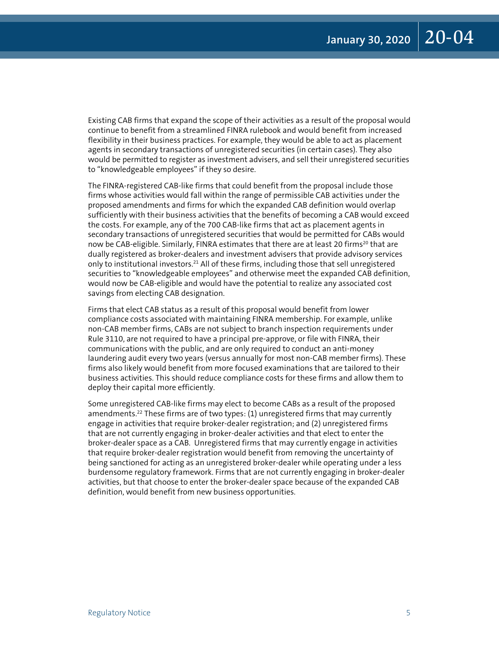<span id="page-4-0"></span>Existing CAB firms that expand the scope of their activities as a result of the proposal would continue to benefit from a streamlined FINRA rulebook and would benefit from increased flexibility in their business practices. For example, they would be able to act as placement agents in secondary transactions of unregistered securities (in certain cases). They also would be permitted to register as investment advisers, and sell their unregistered securities to "knowledgeable employees" if they so desire.

The FINRA-registered CAB-like firms that could benefit from the proposal include those firms whose activities would fall within the range of permissible CAB activities under the proposed amendments and firms for which the expanded CAB definition would overlap sufficiently with their business activities that the benefits of becoming a CAB would exceed the costs. For example, any of the 700 CAB-like firms that act as placement agents in secondary transactions of unregistered securities that would be permitted for CABs would now be CAB-eligible. Similarly, FINRA estimates that there are at least 20 firms<sup>20</sup> that are dually registered as broker-dealers and investment advisers that provide advisory services only to institutional investors.<sup>21</sup> All of these firms, including those that sell unregistered securities to "knowledgeable employees" and otherwise meet the expanded CAB definition, would now be CAB-eligible and would have the potential to realize any associated cost savings from electing CAB designation.

Firms that elect CAB status as a result of this proposal would benefit from lower compliance costs associated with maintaining FINRA membership. For example, unlike non-CAB member firms, CABs are not subject to branch inspection requirements under Rule 3110, are not required to have a principal pre-approve, or file with FINRA, their communications with the public, and are only required to conduct an anti-money laundering audit every two years (versus annually for most non-CAB member firms). These firms also likely would benefit from more focused examinations that are tailored to their business activities. This should reduce compliance costs for these firms and allow them to deploy their capital more efficiently.

Some unregistered CAB-like firms may elect to become CABs as a result of the proposed amendments.<sup>22</sup> These firms are of two types: (1) unregistered firms that may currently engage in activities that require broker-dealer registration; and (2) unregistered firms that are not currently engaging in broker-dealer activities and that elect to enter the broker-dealer space as a CAB. Unregistered firms that may currently engage in activities that require broker-dealer registration would benefit from removing the uncertainty of being sanctioned for acting as an unregistered broker-dealer while operating under a less burdensome regulatory framework. Firms that are not currently engaging in broker-dealer activities, but that choose to enter the broker-dealer space because of the expanded CAB definition, would benefit from new business opportunities.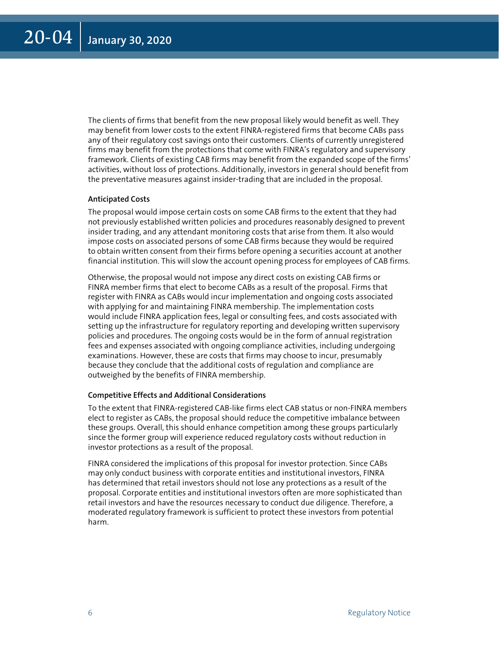The clients of firms that benefit from the new proposal likely would benefit as well. They may benefit from lower costs to the extent FINRA-registered firms that become CABs pass any of their regulatory cost savings onto their customers. Clients of currently unregistered firms may benefit from the protections that come with FINRA's regulatory and supervisory framework. Clients of existing CAB firms may benefit from the expanded scope of the firms' activities, without loss of protections. Additionally, investors in general should benefit from the preventative measures against insider-trading that are included in the proposal.

#### **Anticipated Costs**

The proposal would impose certain costs on some CAB firms to the extent that they had not previously established written policies and procedures reasonably designed to prevent insider trading, and any attendant monitoring costs that arise from them. It also would impose costs on associated persons of some CAB firms because they would be required to obtain written consent from their firms before opening a securities account at another financial institution. This will slow the account opening process for employees of CAB firms.

Otherwise, the proposal would not impose any direct costs on existing CAB firms or FINRA member firms that elect to become CABs as a result of the proposal. Firms that register with FINRA as CABs would incur implementation and ongoing costs associated with applying for and maintaining FINRA membership. The implementation costs would include FINRA application fees, legal or consulting fees, and costs associated with setting up the infrastructure for regulatory reporting and developing written supervisory policies and procedures. The ongoing costs would be in the form of annual registration fees and expenses associated with ongoing compliance activities, including undergoing examinations. However, these are costs that firms may choose to incur, presumably because they conclude that the additional costs of regulation and compliance are outweighed by the benefits of FINRA membership.

#### **Competitive Effects and Additional Considerations**

To the extent that FINRA-registered CAB-like firms elect CAB status or non-FINRA members elect to register as CABs, the proposal should reduce the competitive imbalance between these groups. Overall, this should enhance competition among these groups particularly since the former group will experience reduced regulatory costs without reduction in investor protections as a result of the proposal.

FINRA considered the implications of this proposal for investor protection. Since CABs may only conduct business with corporate entities and institutional investors, FINRA has determined that retail investors should not lose any protections as a result of the proposal. Corporate entities and institutional investors often are more sophisticated than retail investors and have the resources necessary to conduct due diligence. Therefore, a moderated regulatory framework is sufficient to protect these investors from potential harm.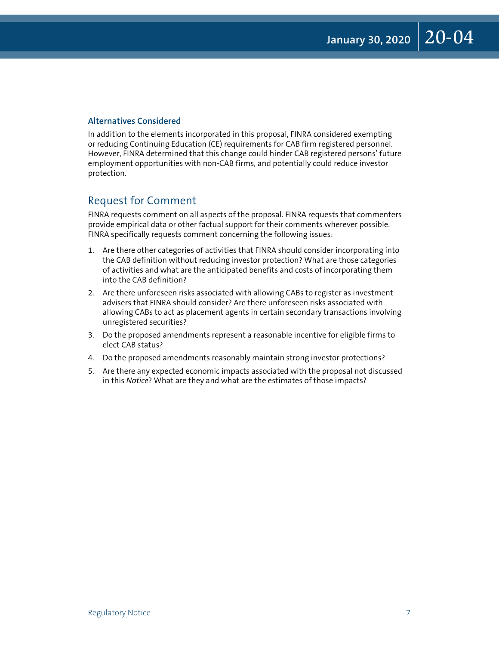#### **Alternatives Considered**

In addition to the elements incorporated in this proposal, FINRA considered exempting or reducing Continuing Education (CE) requirements for CAB firm registered personnel. However, FINRA determined that this change could hinder CAB registered persons' future employment opportunities with non-CAB firms, and potentially could reduce investor protection.

#### Request for Comment

FINRA requests comment on all aspects of the proposal. FINRA requests that commenters provide empirical data or other factual support for their comments wherever possible. FINRA specifically requests comment concerning the following issues:

- 1. Are there other categories of activities that FINRA should consider incorporating into the CAB definition without reducing investor protection? What are those categories of activities and what are the anticipated benefits and costs of incorporating them into the CAB definition?
- 2. Are there unforeseen risks associated with allowing CABs to register as investment advisers that FINRA should consider? Are there unforeseen risks associated with allowing CABs to act as placement agents in certain secondary transactions involving unregistered securities?
- 3. Do the proposed amendments represent a reasonable incentive for eligible firms to elect CAB status?
- 4. Do the proposed amendments reasonably maintain strong investor protections?
- 5. Are there any expected economic impacts associated with the proposal not discussed in this *Notice*? What are they and what are the estimates of those impacts?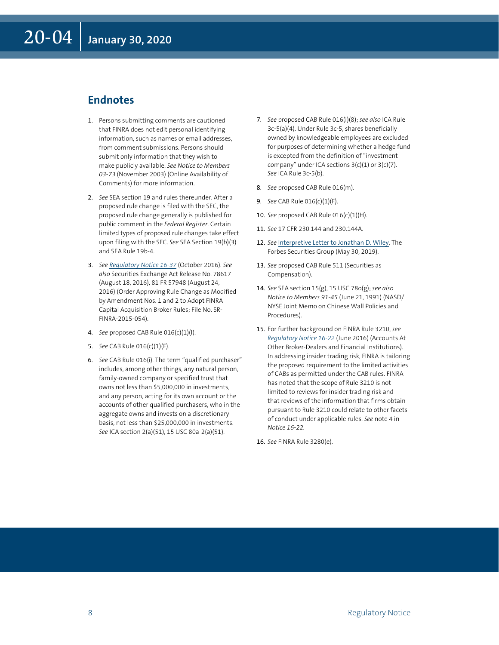#### <span id="page-7-0"></span>**Endnotes**

- 1. [Pe](#page-1-0)rsons submitting comments are cautioned that FINRA does not edit personal identifying information, such as names or email addresses, from comment submissions. Persons should submit only information that they wish to make publicly available. *See Notice to Members 03-73* (November 2003) (Online Availability of Comments) for more information.
- 2. *[S](#page-1-0)ee* SEA section 19 and rules thereunder. After a proposed rule change is filed with the SEC, the proposed rule change generally is published for public comment in the *Federal Register*. Certain limited types of proposed rule changes take effect upon filing with the SEC. *See* SEA Section 19(b)(3) and SEA Rule 19b-4.
- 3. *[S](#page-1-0)ee [Regulatory Notice 16-37](https://www.finra.org/rules-guidance/notices/16-37)* (October 2016). *See also* Securities Exchange Act Release No. 78617 (August 18, 2016), 81 FR 57948 (August 24, 2016) (Order Approving Rule Change as Modified by Amendment Nos. 1 and 2 to Adopt FINRA Capital Acquisition Broker Rules; File No. SR-FINRA-2015-054).
- 4. *[S](#page-1-0)ee* proposed CAB Rule 016(c)(1)(I).
- 5. *[S](#page-1-0)ee* CAB Rule 016(c)(1)(F).
- 6. *[S](#page-1-0)ee* CAB Rule 016(i). The term "qualified purchaser" includes, among other things, any natural person, family-owned company or specified trust that owns not less than \$5,000,000 in investments, and any person, acting for its own account or the accounts of other qualified purchasers, who in the aggregate owns and invests on a discretionary basis, not less than \$25,000,000 in investments. *See* ICA section 2(a)(51), 15 USC 80a-2(a)(51).
- 7. *[S](#page-1-0)ee* proposed CAB Rule 016(i)(8); *see also* ICA Rule 3c-5(a)(4). Under Rule 3c-5, shares beneficially owned by knowledgeable employees are excluded for purposes of determining whether a hedge fund is excepted from the definition of "investment company" under ICA sections  $3(c)(1)$  or  $3(c)(7)$ . *See* ICA Rule 3c-5(b).
- 8. *See* proposed CAB Rule 016(m).
- 9. *[S](#page-2-0)ee* CAB Rule 016(c)(1)(F).
- 10. *[S](#page-2-0)ee* proposed CAB Rule 016(c)(1)(H).
- 11. *[S](#page-2-0)ee* 17 CFR 230.144 and 230.144A.
- 12. [S](#page-2-0)ee [Interpretive Letter to Jonathan D. Wiley](https://www.finra.org/rules-guidance/guidance/interpretive-letters/jonathan-d-wiley-forbes-securities-group), The Forbes Securities Group (May 30, 2019).
- 13. [S](#page-2-0)ee proposed CAB Rule 511 (Securities as Compensation).
- 14. *See* SEA section 15(g), 15 USC 78o(g); *see also Notice to Members 91-45* (June 21, 1991) (NASD/ NYSE Joint Memo on Chinese Wall Policies and Procedures).
- 15. [F](#page-2-0)or further background on FINRA Rule 3210, see *[Regulatory Notice 16-22](https://www.finra.org/rules-guidance/notices/16-22)* (June 2016) (Accounts At Other Broker-Dealers and Financial Institutions). In addressing insider trading risk, FINRA is tailoring the proposed requirement to the limited activities of CABs as permitted under the CAB rules. FINRA has noted that the scope of Rule 3210 is not limited to reviews for insider trading risk and that reviews of the information that firms obtain pursuant to Rule 3210 could relate to other facets of conduct under applicable rules. *See* note 4 in *Notice 16-22.*
- 16. *[S](#page-3-0)ee* FINRA Rule 3280(e).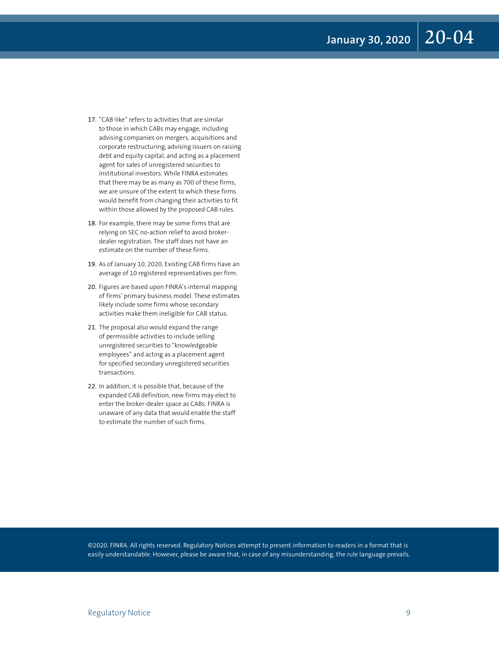January 30, 2020 20-04

- <span id="page-8-0"></span>17. ["C](#page-3-0)AB-like" refers to activities that are similar to those in which CABs may engage, including advising companies on mergers, acquisitions and corporate restructuring, advising issuers on raising debt and equity capital, and acting as a placement agent for sales of unregistered securities to institutional investors. While FINRA estimates that there may be as many as 700 of these firms, we are unsure of the extent to which these firms would benefit from changing their activities to fit within those allowed by the proposed CAB rules.
- 18. [F](#page-3-0)or example, there may be some firms that are relying on SEC no-action relief to avoid brokerdealer registration. The staff does not have an estimate on the number of these firms.
- 19. [A](#page-3-0)s of January 10, 2020. Existing CAB firms have an average of 10 registered representatives per firm.
- 20. [F](#page-4-0)igures are based upon FINRA's internal mapping of firms' primary business model. These estimates likely include some firms whose secondary activities make them ineligible for CAB status.
- 21. [Th](#page-4-0)e proposal also would expand the range of permissible activities to include selling unregistered securities to "knowledgeable employees" and acting as a placement agent for specified secondary unregistered securities transactions.
- 22. [In](#page-4-0) addition, it is possible that, because of the expanded CAB definition, new firms may elect to enter the broker-dealer space as CABs. FINRA is unaware of any data that would enable the staff to estimate the number of such firms.

©2020. FINRA. All rights reserved. Regulatory Notices attempt to present information to readers in a format that is easily understandable. However, please be aware that, in case of any misunderstanding, the rule language prevails.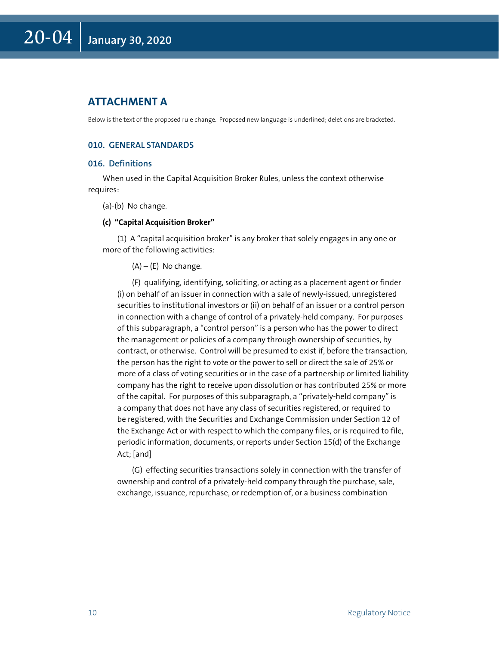#### **ATTACHMENT A**

Below is the text of the proposed rule change. Proposed new language is underlined; deletions are bracketed.

#### **010. GENERAL STANDARDS**

#### **016. Definitions**

When used in the Capital Acquisition Broker Rules, unless the context otherwise requires:

#### (a)-(b) No change.

#### **(c) "Capital Acquisition Broker"**

(1) A "capital acquisition broker" is any broker that solely engages in any one or more of the following activities:

 $(A) - (E)$  No change.

(F) qualifying, identifying, soliciting, or acting as a placement agent or finder (i) on behalf of an issuer in connection with a sale of newly-issued, unregistered securities to institutional investors or (ii) on behalf of an issuer or a control person in connection with a change of control of a privately-held company. For purposes of this subparagraph, a "control person" is a person who has the power to direct the management or policies of a company through ownership of securities, by contract, or otherwise. Control will be presumed to exist if, before the transaction, the person has the right to vote or the power to sell or direct the sale of 25% or more of a class of voting securities or in the case of a partnership or limited liability company has the right to receive upon dissolution or has contributed 25% or more of the capital. For purposes of this subparagraph, a "privately-held company" is a company that does not have any class of securities registered, or required to be registered, with the Securities and Exchange Commission under Section 12 of the Exchange Act or with respect to which the company files, or is required to file, periodic information, documents, or reports under Section 15(d) of the Exchange Act; [and]

(G) effecting securities transactions solely in connection with the transfer of ownership and control of a privately-held company through the purchase, sale, exchange, issuance, repurchase, or redemption of, or a business combination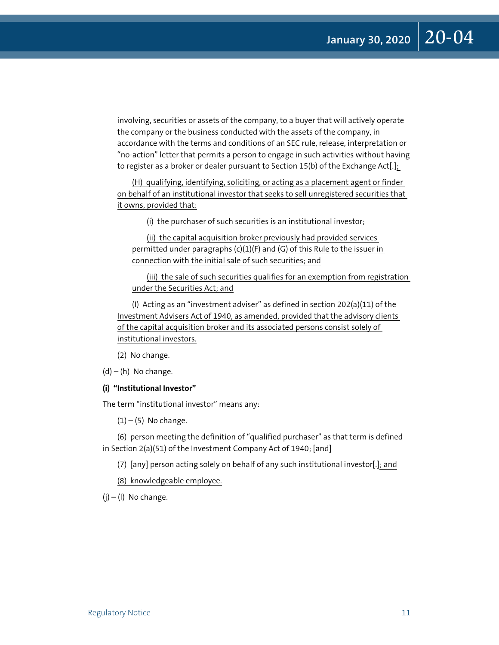involving, securities or assets of the company, to a buyer that will actively operate the company or the business conducted with the assets of the company, in accordance with the terms and conditions of an SEC rule, release, interpretation or "no-action" letter that permits a person to engage in such activities without having to register as a broker or dealer pursuant to Section 15(b) of the Exchange Act[.];

(H) qualifying, identifying, soliciting, or acting as a placement agent or finder on behalf of an institutional investor that seeks to sell unregistered securities that it owns, provided that:

(i) the purchaser of such securities is an institutional investor;

(ii) the capital acquisition broker previously had provided services permitted under paragraphs  $(c)(1)(F)$  and  $(G)$  of this Rule to the issuer in connection with the initial sale of such securities; and

(iii) the sale of such securities qualifies for an exemption from registration under the Securities Act; and

(I) Acting as an "investment adviser" as defined in section 202(a)(11) of the Investment Advisers Act of 1940, as amended, provided that the advisory clients of the capital acquisition broker and its associated persons consist solely of institutional investors.

(2) No change.

 $(d) - (h)$  No change.

#### **(i) "Institutional Investor"**

The term "institutional investor" means any:

 $(1) - (5)$  No change.

(6) person meeting the definition of "qualified purchaser" as that term is defined in Section 2(a)(51) of the Investment Company Act of 1940; [and]

(7) [any] person acting solely on behalf of any such institutional investor[.]; and

(8) knowledgeable employee.

 $(i) - (1)$  No change.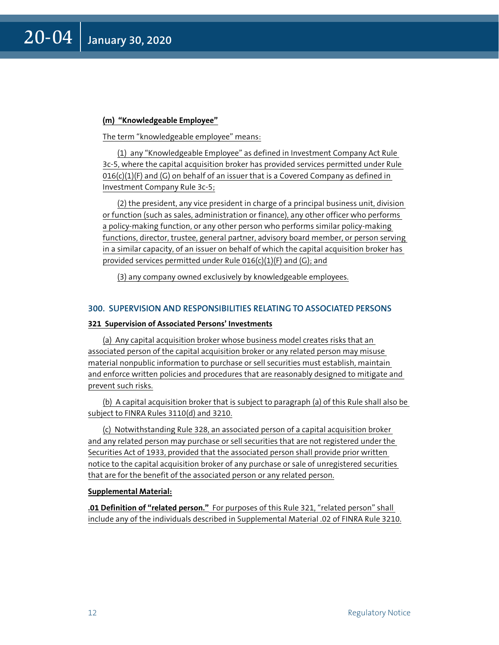#### **(m) "Knowledgeable Employee"**

The term "knowledgeable employee" means:

(1) any "Knowledgeable Employee" as defined in Investment Company Act Rule 3c-5, where the capital acquisition broker has provided services permitted under Rule  $016(c)(1)(F)$  and  $(G)$  on behalf of an issuer that is a Covered Company as defined in Investment Company Rule 3c-5;

(2) the president, any vice president in charge of a principal business unit, division or function (such as sales, administration or finance), any other officer who performs a policy-making function, or any other person who performs similar policy-making functions, director, trustee, general partner, advisory board member, or person serving in a similar capacity, of an issuer on behalf of which the capital acquisition broker has provided services permitted under Rule  $016(c)(1)(F)$  and  $(G)$ ; and

(3) any company owned exclusively by knowledgeable employees.

#### **300. SUPERVISION AND RESPONSIBILITIES RELATING TO ASSOCIATED PERSONS**

#### **321 Supervision of Associated Persons' Investments**

(a) Any capital acquisition broker whose business model creates risks that an associated person of the capital acquisition broker or any related person may misuse material nonpublic information to purchase or sell securities must establish, maintain and enforce written policies and procedures that are reasonably designed to mitigate and prevent such risks.

(b) A capital acquisition broker that is subject to paragraph (a) of this Rule shall also be subject to FINRA Rules 3110(d) and 3210.

(c) Notwithstanding Rule 328, an associated person of a capital acquisition broker and any related person may purchase or sell securities that are not registered under the Securities Act of 1933, provided that the associated person shall provide prior written notice to the capital acquisition broker of any purchase or sale of unregistered securities that are for the benefit of the associated person or any related person.

#### **Supplemental Material:**

**.01 Definition of "related person."** For purposes of this Rule 321, "related person" shall include any of the individuals described in Supplemental Material .02 of FINRA Rule 3210.